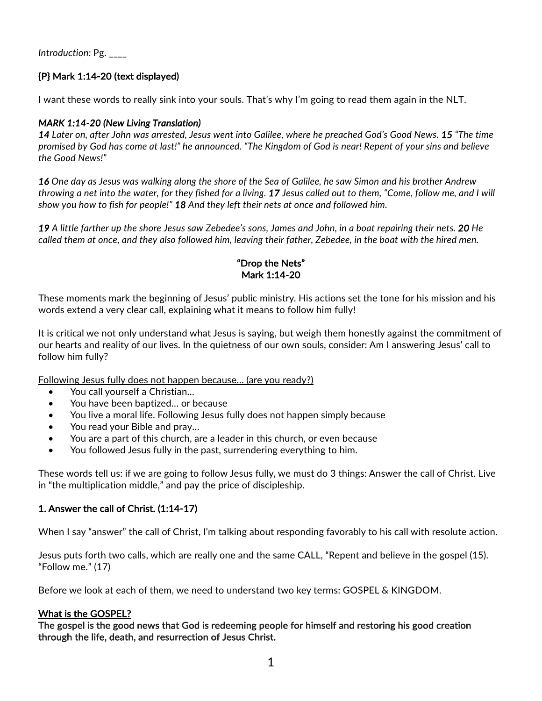*Introduction:* Pg. \_\_\_\_

# {P} Mark 1:14-20 (text displayed)

I want these words to really sink into your souls. That's why I'm going to read them again in the NLT.

### *MARK 1:14-20 (New Living Translation)*

*14 Later on, after John was arrested, Jesus went into Galilee, where he preached God's Good News. 15 "The time promised by God has come at last!" he announced. "The Kingdom of God is near! Repent of your sins and believe the Good News!"*

*16 One day as Jesus was walking along the shore of the Sea of Galilee, he saw Simon and his brother Andrew throwing a net into the water, for they fished for a living. 17 Jesus called out to them, "Come, follow me, and I will show you how to fish for people!" 18 And they left their nets at once and followed him.*

*19 A little farther up the shore Jesus saw Zebedee's sons, James and John, in a boat repairing their nets. 20 He called them at once, and they also followed him, leaving their father, Zebedee, in the boat with the hired men.*

### "Drop the Nets" Mark 1:14-20

These moments mark the beginning of Jesus' public ministry. His actions set the tone for his mission and his words extend a very clear call, explaining what it means to follow him fully!

It is critical we not only understand what Jesus is saying, but weigh them honestly against the commitment of our hearts and reality of our lives. In the quietness of our own souls, consider: Am I answering Jesus' call to follow him fully?

Following Jesus fully does not happen because… (are you ready?)

- You call yourself a Christian…
- You have been baptized… or because
- You live a moral life. Following Jesus fully does not happen simply because
- You read your Bible and pray...
- You are a part of this church, are a leader in this church, or even because
- You followed Jesus fully in the past, surrendering everything to him.

These words tell us: if we are going to follow Jesus fully, we must do 3 things: Answer the call of Christ. Live in "the multiplication middle," and pay the price of discipleship.

#### 1. Answer the call of Christ. (1:14-17)

When I say "answer" the call of Christ, I'm talking about responding favorably to his call with resolute action.

Jesus puts forth two calls, which are really one and the same CALL, "Repent and believe in the gospel (15). "Follow me." (17)

Before we look at each of them, we need to understand two key terms: GOSPEL & KINGDOM.

#### What is the GOSPEL?

The gospel is the good news that God is redeeming people for himself and restoring his good creation through the life, death, and resurrection of Jesus Christ.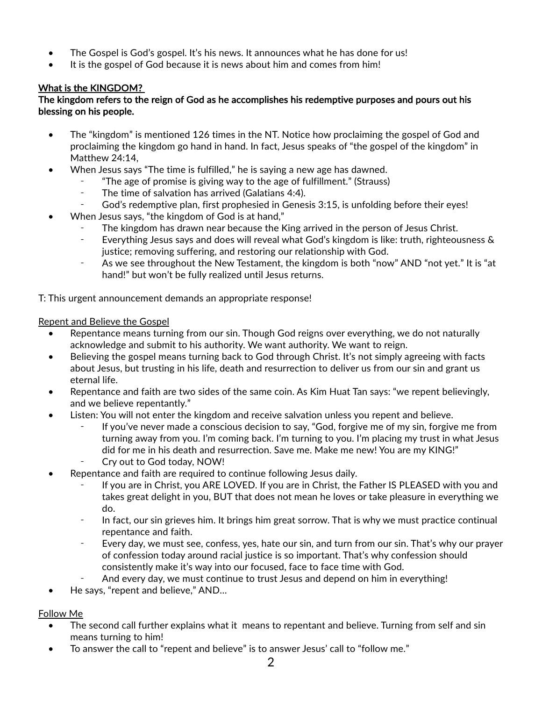- The Gospel is God's gospel. It's his news. It announces what he has done for us!
- It is the gospel of God because it is news about him and comes from him!

# What is the KINGDOM?

### The kingdom refers to the reign of God as he accomplishes his redemptive purposes and pours out his blessing on his people.

- The "kingdom" is mentioned 126 times in the NT. Notice how proclaiming the gospel of God and proclaiming the kingdom go hand in hand. In fact, Jesus speaks of "the gospel of the kingdom" in Matthew 24:14,
- When Jesus says "The time is fulfilled," he is saying a new age has dawned.
	- ⁃ "The age of promise is giving way to the age of fulfillment." (Strauss)
	- ⁃ The time of salvation has arrived (Galatians 4:4).
- God's redemptive plan, first prophesied in Genesis 3:15, is unfolding before their eyes!
- When Jesus says, "the kingdom of God is at hand,"
	- The kingdom has drawn near because the King arrived in the person of Jesus Christ.
	- ⁃ Everything Jesus says and does will reveal what God's kingdom is like: truth, righteousness & justice; removing suffering, and restoring our relationship with God.
	- ⁃ As we see throughout the New Testament, the kingdom is both "now" AND "not yet." It is "at hand!" but won't be fully realized until Jesus returns.

T: This urgent announcement demands an appropriate response!

### Repent and Believe the Gospel

- Repentance means turning from our sin. Though God reigns over everything, we do not naturally acknowledge and submit to his authority. We want authority. We want to reign.
- Believing the gospel means turning back to God through Christ. It's not simply agreeing with facts about Jesus, but trusting in his life, death and resurrection to deliver us from our sin and grant us eternal life.
- Repentance and faith are two sides of the same coin. As Kim Huat Tan says: "we repent believingly, and we believe repentantly."
- Listen: You will not enter the kingdom and receive salvation unless you repent and believe.
	- If you've never made a conscious decision to say, "God, forgive me of my sin, forgive me from turning away from you. I'm coming back. I'm turning to you. I'm placing my trust in what Jesus did for me in his death and resurrection. Save me. Make me new! You are my KING!"
	- Cry out to God today, NOW!
- Repentance and faith are required to continue following Jesus daily.
	- If you are in Christ, you ARE LOVED. If you are in Christ, the Father IS PLEASED with you and takes great delight in you, BUT that does not mean he loves or take pleasure in everything we do.
	- ⁃ In fact, our sin grieves him. It brings him great sorrow. That is why we must practice continual repentance and faith.
	- ⁃ Every day, we must see, confess, yes, hate our sin, and turn from our sin. That's why our prayer of confession today around racial justice is so important. That's why confession should consistently make it's way into our focused, face to face time with God.
	- And every day, we must continue to trust Jesus and depend on him in everything!
- He says, "repent and believe," AND...

### Follow Me

- The second call further explains what it means to repentant and believe. Turning from self and sin means turning to him!
- To answer the call to "repent and believe" is to answer Jesus' call to "follow me."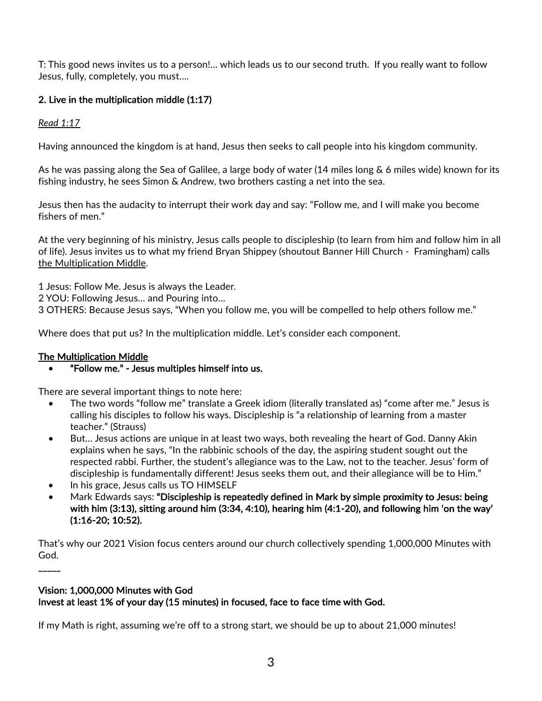T: This good news invites us to a person!… which leads us to our second truth. If you really want to follow Jesus, fully, completely, you must….

# 2. Live in the multiplication middle (1:17)

*Read 1:17*

Having announced the kingdom is at hand, Jesus then seeks to call people into his kingdom community.

As he was passing along the Sea of Galilee, a large body of water (14 miles long & 6 miles wide) known for its fishing industry, he sees Simon & Andrew, two brothers casting a net into the sea.

Jesus then has the audacity to interrupt their work day and say: "Follow me, and I will make you become fishers of men."

At the very beginning of his ministry, Jesus calls people to discipleship (to learn from him and follow him in all of life). Jesus invites us to what my friend Bryan Shippey (shoutout Banner Hill Church - Framingham) calls the Multiplication Middle.

1 Jesus: Follow Me. Jesus is always the Leader.

2 YOU: Following Jesus… and Pouring into…

3 OTHERS: Because Jesus says, "When you follow me, you will be compelled to help others follow me."

Where does that put us? In the multiplication middle. Let's consider each component.

# The Multiplication Middle

• "Follow me." - Jesus multiples himself into us.

There are several important things to note here:

- The two words "follow me" translate a Greek idiom (literally translated as) "come after me." Jesus is calling his disciples to follow his ways. Discipleship is "a relationship of learning from a master teacher." (Strauss)
- But… Jesus actions are unique in at least two ways, both revealing the heart of God. Danny Akin explains when he says, "In the rabbinic schools of the day, the aspiring student sought out the respected rabbi. Further, the student's allegiance was to the Law, not to the teacher. Jesus' form of discipleship is fundamentally different! Jesus seeks them out, and their allegiance will be to Him."
- In his grace, Jesus calls us TO HIMSELF
- Mark Edwards says: "Discipleship is repeatedly defined in Mark by simple proximity to Jesus: being with him (3:13), sitting around him (3:34, 4:10), hearing him (4:1-20), and following him 'on the way' (1:16-20; 10:52).

That's why our 2021 Vision focus centers around our church collectively spending 1,000,000 Minutes with God.

# Vision: 1,000,000 Minutes with God

 $\overline{\phantom{a}}$ 

Invest at least 1% of your day (15 minutes) in focused, face to face time with God.

If my Math is right, assuming we're off to a strong start, we should be up to about 21,000 minutes!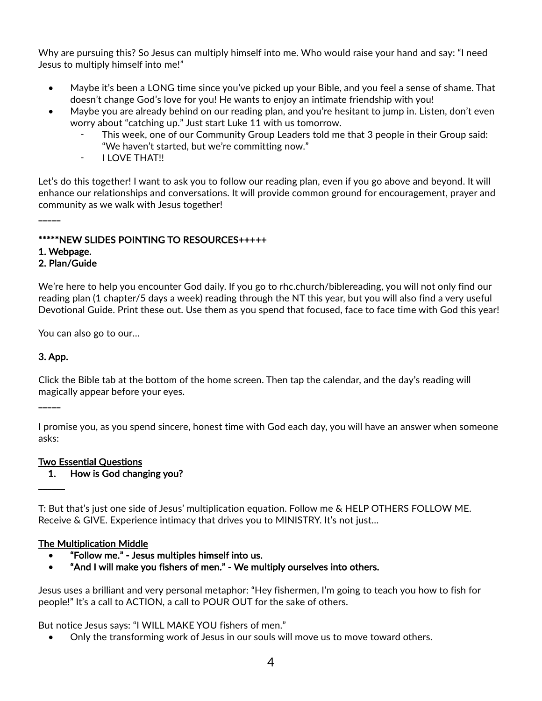Why are pursuing this? So Jesus can multiply himself into me. Who would raise your hand and say: "I need Jesus to multiply himself into me!"

- Maybe it's been a LONG time since you've picked up your Bible, and you feel a sense of shame. That doesn't change God's love for you! He wants to enjoy an intimate friendship with you!
- Maybe you are already behind on our reading plan, and you're hesitant to jump in. Listen, don't even worry about "catching up." Just start Luke 11 with us tomorrow.
	- This week, one of our Community Group Leaders told me that 3 people in their Group said: "We haven't started, but we're committing now."
	- ⁃ I LOVE THAT!!

Let's do this together! I want to ask you to follow our reading plan, even if you go above and beyond. It will enhance our relationships and conversations. It will provide common ground for encouragement, prayer and community as we walk with Jesus together!

# \*\*\*\*\*NEW SLIDES POINTING TO RESOURCES+++++

# 1. Webpage.

 $\overline{\phantom{a}}$ 

### 2. Plan/Guide

We're here to help you encounter God daily. If you go to rhc.church/biblereading, you will not only find our reading plan (1 chapter/5 days a week) reading through the NT this year, but you will also find a very useful Devotional Guide. Print these out. Use them as you spend that focused, face to face time with God this year!

You can also go to our…

### 3. App.

 $-$ 

 $\overline{\phantom{a}}$ 

Click the Bible tab at the bottom of the home screen. Then tap the calendar, and the day's reading will magically appear before your eyes.

I promise you, as you spend sincere, honest time with God each day, you will have an answer when someone asks:

### Two Essential Questions

1. How is God changing you?

T: But that's just one side of Jesus' multiplication equation. Follow me & HELP OTHERS FOLLOW ME. Receive & GIVE. Experience intimacy that drives you to MINISTRY. It's not just…

### The Multiplication Middle

- "Follow me." Jesus multiples himself into us.
- "And I will make you fishers of men." We multiply ourselves into others.

Jesus uses a brilliant and very personal metaphor: "Hey fishermen, I'm going to teach you how to fish for people!" It's a call to ACTION, a call to POUR OUT for the sake of others.

But notice Jesus says: "I WILL MAKE YOU fishers of men."

• Only the transforming work of Jesus in our souls will move us to move toward others.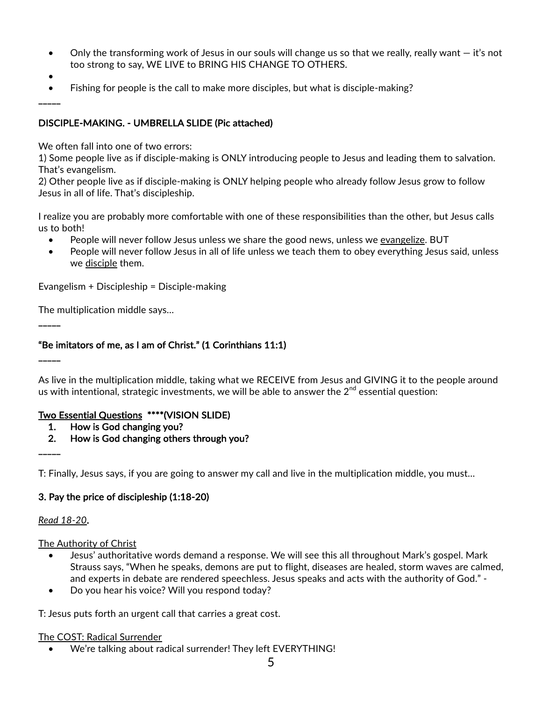- Only the transforming work of Jesus in our souls will change us so that we really, really want  $-$  it's not too strong to say, WE LIVE to BRING HIS CHANGE TO OTHERS.
- •

 $\overline{\phantom{a}}$ 

 $\overline{\phantom{a}}$ 

\_\_\_\_\_

\_\_\_\_\_

• Fishing for people is the call to make more disciples, but what is disciple-making?

### DISCIPLE-MAKING. - UMBRELLA SLIDE (Pic attached)

We often fall into one of two errors:

1) Some people live as if disciple-making is ONLY introducing people to Jesus and leading them to salvation. That's evangelism.

2) Other people live as if disciple-making is ONLY helping people who already follow Jesus grow to follow Jesus in all of life. That's discipleship.

I realize you are probably more comfortable with one of these responsibilities than the other, but Jesus calls us to both!

- People will never follow Jesus unless we share the good news, unless we evangelize. BUT
- People will never follow Jesus in all of life unless we teach them to obey everything Jesus said, unless we disciple them.

Evangelism + Discipleship = Disciple-making

The multiplication middle says…

#### "Be imitators of me, as I am of Christ." (1 Corinthians 11:1)

As live in the multiplication middle, taking what we RECEIVE from Jesus and GIVING it to the people around us with intentional, strategic investments, we will be able to answer the  $2<sup>nd</sup>$  essential question:

#### Two Essential Questions \*\*\*\*(VISION SLIDE)

- 1. How is God changing you?
- 2. How is God changing others through you?

T: Finally, Jesus says, if you are going to answer my call and live in the multiplication middle, you must…

#### 3. Pay the price of discipleship (1:18-20)

#### *Read 18-20*.

#### The Authority of Christ

- Jesus' authoritative words demand a response. We will see this all throughout Mark's gospel. Mark Strauss says, "When he speaks, demons are put to flight, diseases are healed, storm waves are calmed, and experts in debate are rendered speechless. Jesus speaks and acts with the authority of God." -
- Do you hear his voice? Will you respond today?

T: Jesus puts forth an urgent call that carries a great cost.

#### The COST: Radical Surrender

• We're talking about radical surrender! They left EVERYTHING!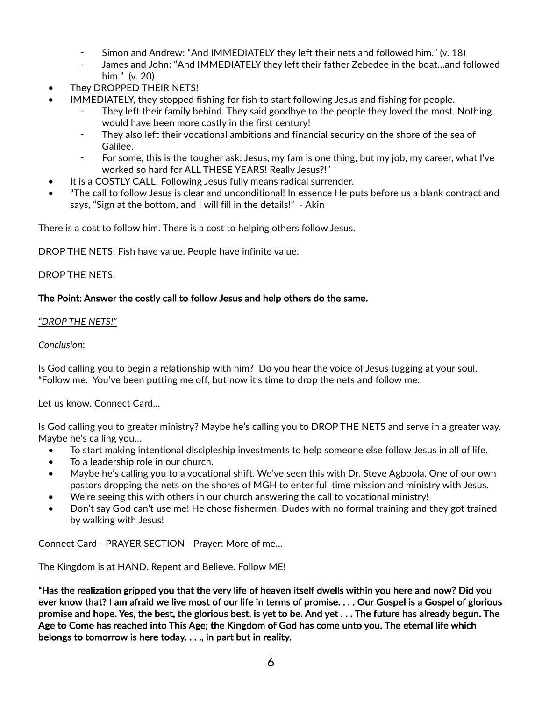- Simon and Andrew: "And IMMEDIATELY they left their nets and followed him." (v. 18)
- James and John: "And IMMEDIATELY they left their father Zebedee in the boat...and followed him." (v. 20)
- They DROPPED THEIR NETS!
- IMMEDIATELY, they stopped fishing for fish to start following Jesus and fishing for people.
	- They left their family behind. They said goodbye to the people they loved the most. Nothing would have been more costly in the first century!
	- ⁃ They also left their vocational ambitions and financial security on the shore of the sea of Galilee.
	- ⁃ For some, this is the tougher ask: Jesus, my fam is one thing, but my job, my career, what I've worked so hard for ALL THESE YEARS! Really Jesus?!"
- It is a COSTLY CALL! Following Jesus fully means radical surrender.
- "The call to follow Jesus is clear and unconditional! In essence He puts before us a blank contract and says, "Sign at the bottom, and I will fill in the details!" - Akin

There is a cost to follow him. There is a cost to helping others follow Jesus.

DROP THE NETS! Fish have value. People have infinite value.

### DROP THE NETS!

### The Point: Answer the costly call to follow Jesus and help others do the same.

#### *"DROP THE NETS!"*

#### *Conclusion*:

Is God calling you to begin a relationship with him? Do you hear the voice of Jesus tugging at your soul, "Follow me. You've been putting me off, but now it's time to drop the nets and follow me.

#### Let us know. Connect Card…

Is God calling you to greater ministry? Maybe he's calling you to DROP THE NETS and serve in a greater way. Maybe he's calling you…

- To start making intentional discipleship investments to help someone else follow Jesus in all of life.
- To a leadership role in our church.
- Maybe he's calling you to a vocational shift. We've seen this with Dr. Steve Agboola. One of our own pastors dropping the nets on the shores of MGH to enter full time mission and ministry with Jesus.
- We're seeing this with others in our church answering the call to vocational ministry!
- Don't say God can't use me! He chose fishermen. Dudes with no formal training and they got trained by walking with Jesus!

Connect Card - PRAYER SECTION - Prayer: More of me…

The Kingdom is at HAND. Repent and Believe. Follow ME!

"Has the realization gripped you that the very life of heaven itself dwells within you here and now? Did you ever know that? I am afraid we live most of our life in terms of promise. . . . Our Gospel is a Gospel of glorious promise and hope. Yes, the best, the glorious best, is yet to be. And yet . . . The future has already begun. The Age to Come has reached into This Age; the Kingdom of God has come unto you. The eternal life which belongs to tomorrow is here today. . . ., in part but in reality.